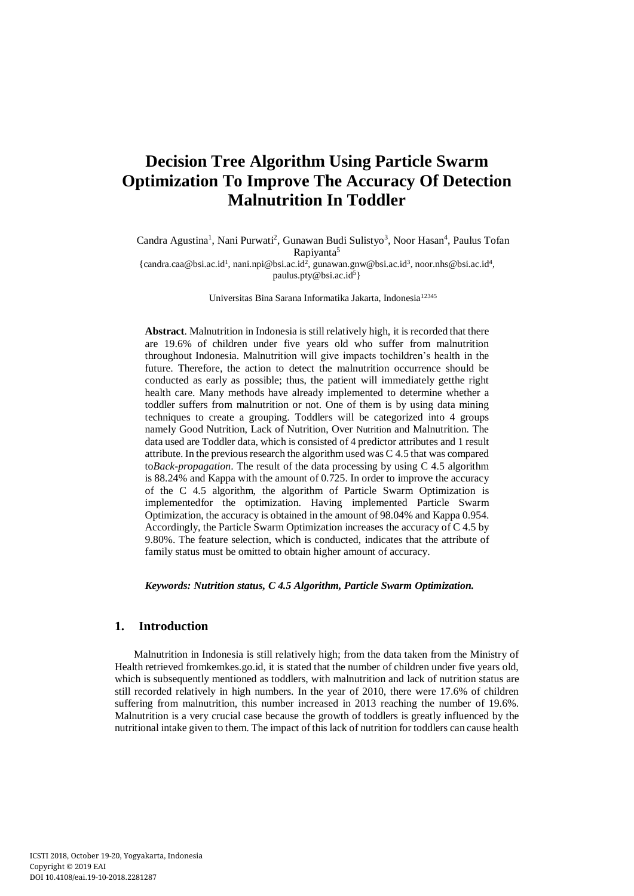# **Decision Tree Algorithm Using Particle Swarm Optimization To Improve The Accuracy Of Detection Malnutrition In Toddler**

Candra Agustina<sup>1</sup>, Nani Purwati<sup>2</sup>, Gunawan Budi Sulistyo<sup>3</sup>, Noor Hasan<sup>4</sup>, Paulus Tofan Rapiyanta<sup>5</sup>

[{candra.caa@bsi.ac.id](mailto:candra.caa@bsi.ac.id)<sup>1</sup>, [nani.npi@bsi.ac.id](mailto:nani.npi@bsi.ac.id)<sup>2</sup>, [gunawan.gnw@bsi.ac.id](mailto:gunawan.gnw@bsi.ac.id)<sup>3</sup>, [noor.nhs@bsi.ac.id](mailto:noor.nhs@bsi.ac.id)<sup>4</sup>, paulus.pty@bsi.ac.id<sup>5</sup>}

Universitas Bina Sarana Informatika Jakarta, Indonesia<sup>12345</sup>

**Abstract**. Malnutrition in Indonesia is still relatively high, it is recorded that there are 19.6% of children under five years old who suffer from malnutrition throughout Indonesia. Malnutrition will give impacts tochildren's health in the future. Therefore, the action to detect the malnutrition occurrence should be conducted as early as possible; thus, the patient will immediately getthe right health care. Many methods have already implemented to determine whether a toddler suffers from malnutrition or not. One of them is by using data mining techniques to create a grouping. Toddlers will be categorized into 4 groups namely Good Nutrition, Lack of Nutrition, Over Nutrition and Malnutrition. The data used are Toddler data, which is consisted of 4 predictor attributes and 1 result attribute. In the previous research the algorithm used was C 4.5 that was compared to*Back-propagation*. The result of the data processing by using C 4.5 algorithm is 88.24% and Kappa with the amount of 0.725. In order to improve the accuracy of the C 4.5 algorithm, the algorithm of Particle Swarm Optimization is implementedfor the optimization. Having implemented Particle Swarm Optimization, the accuracy is obtained in the amount of 98.04% and Kappa 0.954. Accordingly, the Particle Swarm Optimization increases the accuracy of C 4.5 by 9.80%. The feature selection, which is conducted, indicates that the attribute of family status must be omitted to obtain higher amount of accuracy.

*Keywords: Nutrition status, C 4.5 Algorithm, Particle Swarm Optimization.*

# **1. Introduction**

Malnutrition in Indonesia is still relatively high; from the data taken from the Ministry of Health retrieved fromkemkes.go.id, it is stated that the number of children under five years old, which is subsequently mentioned as toddlers, with malnutrition and lack of nutrition status are still recorded relatively in high numbers. In the year of 2010, there were 17.6% of children suffering from malnutrition, this number increased in 2013 reaching the number of 19.6%. Malnutrition is a very crucial case because the growth of toddlers is greatly influenced by the nutritional intake given to them. The impact of this lack of nutrition for toddlers can cause health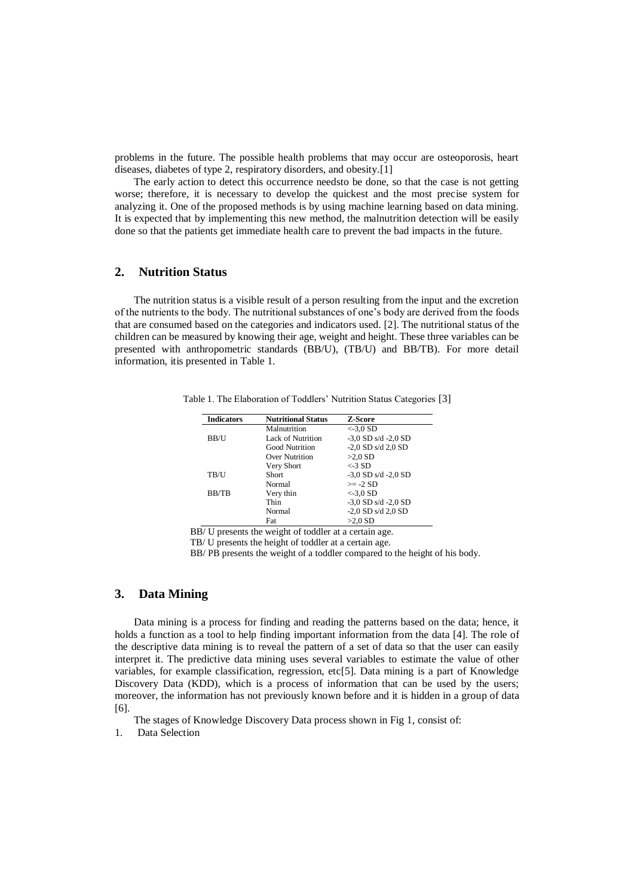problems in the future. The possible health problems that may occur are osteoporosis, heart diseases, diabetes of type 2, respiratory disorders, and obesity.[1]

The early action to detect this occurrence needsto be done, so that the case is not getting worse; therefore, it is necessary to develop the quickest and the most precise system for analyzing it. One of the proposed methods is by using machine learning based on data mining. It is expected that by implementing this new method, the malnutrition detection will be easily done so that the patients get immediate health care to prevent the bad impacts in the future.

#### **2. Nutrition Status**

The nutrition status is a visible result of a person resulting from the input and the excretion of the nutrients to the body. The nutritional substances of one's body are derived from the foods that are consumed based on the categories and indicators used. [2]. The nutritional status of the children can be measured by knowing their age, weight and height. These three variables can be presented with anthropometric standards (BB/U), (TB/U) and BB/TB). For more detail information, itis presented in Table 1.

| <b>Indicators</b> | <b>Nutritional Status</b> | Z-Score                 |
|-------------------|---------------------------|-------------------------|
|                   | Malnutrition              | $<$ -3.0 SD             |
| BB/U              | <b>Lack of Nutrition</b>  | $-3.0$ SD s/d $-2.0$ SD |
|                   | <b>Good Nutrition</b>     | $-2,0$ SD s/d $2,0$ SD  |
|                   | Over Nutrition            | $>2.0$ SD               |
|                   | Very Short                | $<$ -3 SD               |
| TB/U              | <b>Short</b>              | $-3.0$ SD s/d $-2.0$ SD |
|                   | Normal                    | $>= -2 SD$              |
| BB/TB             | Very thin                 | $< 3.0$ SD              |
|                   | Thin                      | $-3.0$ SD s/d $-2.0$ SD |
|                   | Normal                    | $-2,0$ SD s/d $2,0$ SD  |
|                   | Fat                       | $>2.0$ SD               |

Table 1. The Elaboration of Toddlers' Nutrition Status Categories [3]

BB/ U presents the weight of toddler at a certain age.

TB/ U presents the height of toddler at a certain age.

BB/ PB presents the weight of a toddler compared to the height of his body.

#### **3. Data Mining**

Data mining is a process for finding and reading the patterns based on the data; hence, it holds a function as a tool to help finding important information from the data [4]. The role of the descriptive data mining is to reveal the pattern of a set of data so that the user can easily interpret it. The predictive data mining uses several variables to estimate the value of other variables, for example classification, regression, etc[5]. Data mining is a part of Knowledge Discovery Data (KDD), which is a process of information that can be used by the users; moreover, the information has not previously known before and it is hidden in a group of data [6].

The stages of Knowledge Discovery Data process shown in Fig 1, consist of:

1. Data Selection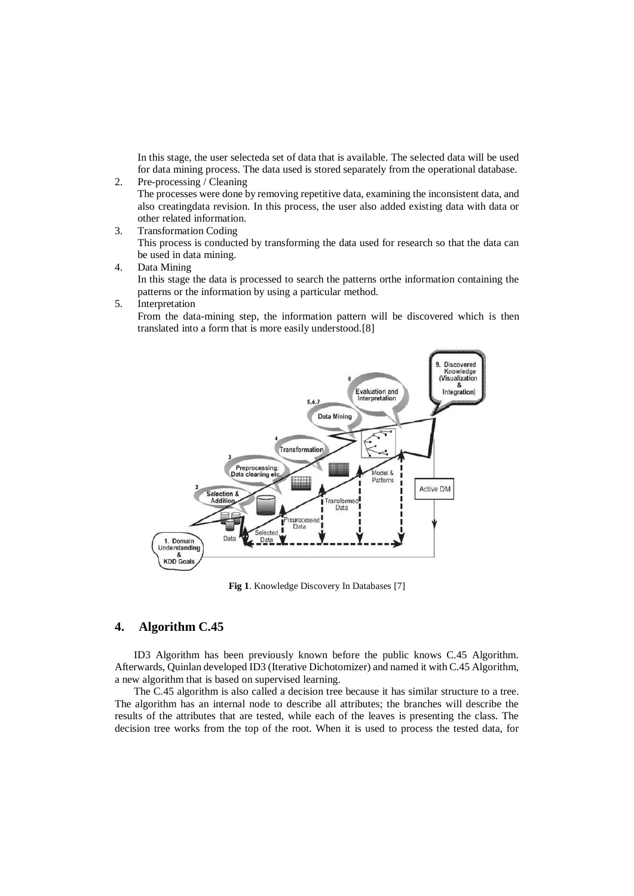In this stage, the user selecteda set of data that is available. The selected data will be used for data mining process. The data used is stored separately from the operational database.

- 2. Pre-processing / Cleaning The processes were done by removing repetitive data, examining the inconsistent data, and also creatingdata revision. In this process, the user also added existing data with data or other related information.
- 3. Transformation Coding This process is conducted by transforming the data used for research so that the data can be used in data mining.
- 4. Data Mining

In this stage the data is processed to search the patterns orthe information containing the patterns or the information by using a particular method.

5. Interpretation

From the data-mining step, the information pattern will be discovered which is then translated into a form that is more easily understood.[8]



**Fig 1**. Knowledge Discovery In Databases [7]

# **4. Algorithm C.45**

ID3 Algorithm has been previously known before the public knows C.45 Algorithm. Afterwards, Quinlan developed ID3 (Iterative Dichotomizer) and named it with C.45 Algorithm, a new algorithm that is based on supervised learning.

The C.45 algorithm is also called a decision tree because it has similar structure to a tree. The algorithm has an internal node to describe all attributes; the branches will describe the results of the attributes that are tested, while each of the leaves is presenting the class. The decision tree works from the top of the root. When it is used to process the tested data, for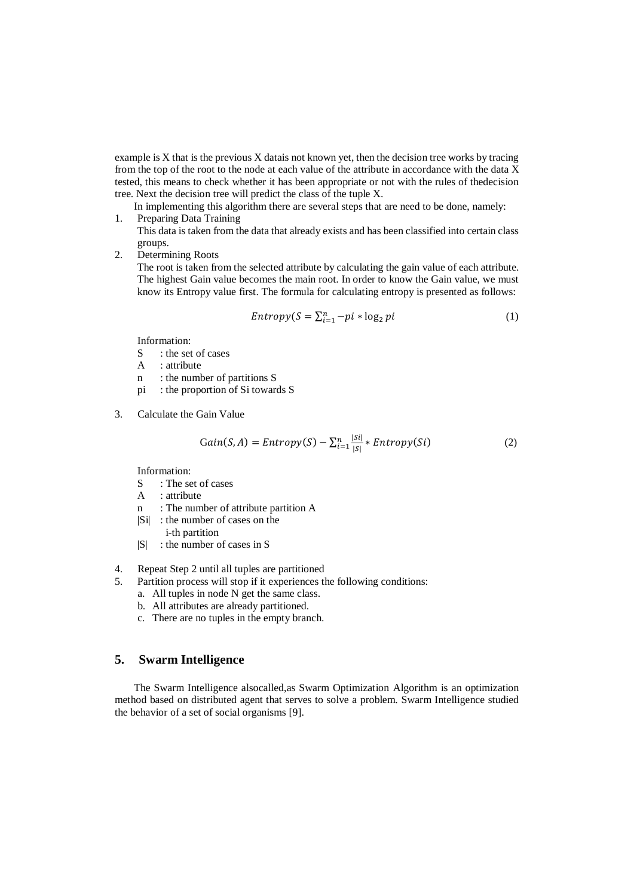example is X that is the previous X datais not known yet, then the decision tree works by tracing from the top of the root to the node at each value of the attribute in accordance with the data X tested, this means to check whether it has been appropriate or not with the rules of thedecision tree. Next the decision tree will predict the class of the tuple X.

- In implementing this algorithm there are several steps that are need to be done, namely:
- 1. Preparing Data Training This data is taken from the data that already exists and has been classified into certain class groups.
- 2. Determining Roots

The root is taken from the selected attribute by calculating the gain value of each attribute. The highest Gain value becomes the main root. In order to know the Gain value, we must know its Entropy value first. The formula for calculating entropy is presented as follows:

$$
Entropy(S = \sum_{i=1}^{n} -pi * \log_2 pi
$$
 (1)

Information:

- S : the set of cases
- A : attribute
- n : the number of partitions S
- pi : the proportion of Si towards S
- 3. Calculate the Gain Value

$$
Gain(S, A) = Entropy(S) - \sum_{i=1}^{n} \frac{|Si|}{|S|} * Entropy(Si)
$$
 (2)

Information:

- S : The set of cases
- A : attribute
- n : The number of attribute partition A
- |Si| : the number of cases on the
- i-th partition
- |S| : the number of cases in S
- 4. Repeat Step 2 until all tuples are partitioned
- 5. Partition process will stop if it experiences the following conditions: a. All tuples in node N get the same class.
	- b. All attributes are already partitioned.
	- c. There are no tuples in the empty branch.

# **5. Swarm Intelligence**

The Swarm Intelligence alsocalled,as Swarm Optimization Algorithm is an optimization method based on distributed agent that serves to solve a problem. Swarm Intelligence studied the behavior of a set of social organisms [9].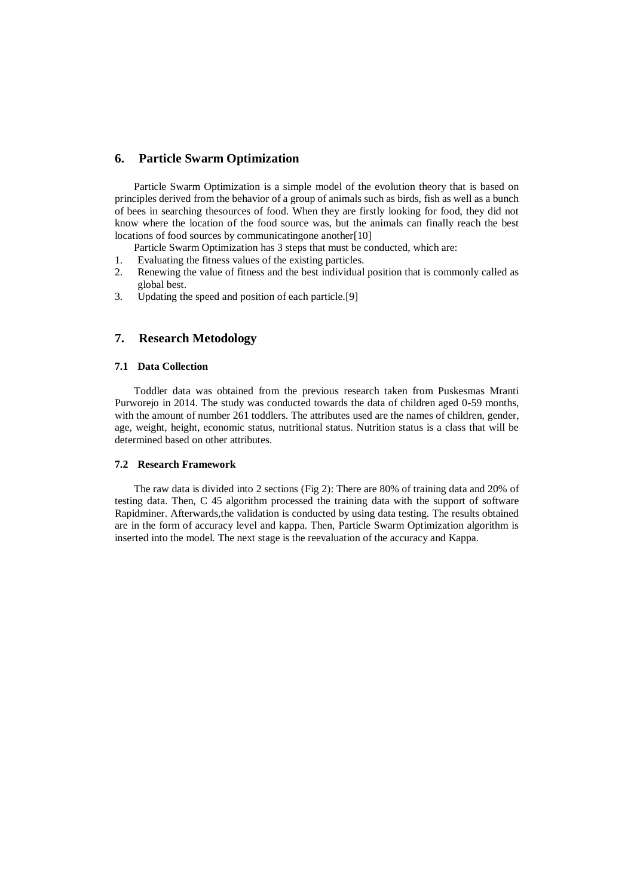# **6. Particle Swarm Optimization**

Particle Swarm Optimization is a simple model of the evolution theory that is based on principles derived from the behavior of a group of animals such as birds, fish as well as a bunch of bees in searching thesources of food. When they are firstly looking for food, they did not know where the location of the food source was, but the animals can finally reach the best locations of food sources by communicatingone another[10]

Particle Swarm Optimization has 3 steps that must be conducted, which are:

- 1. Evaluating the fitness values of the existing particles.
- 2. Renewing the value of fitness and the best individual position that is commonly called as global best.
- 3. Updating the speed and position of each particle.[9]

# **7. Research Metodology**

#### **7.1 Data Collection**

Toddler data was obtained from the previous research taken from Puskesmas Mranti Purworejo in 2014. The study was conducted towards the data of children aged 0-59 months, with the amount of number 261 toddlers. The attributes used are the names of children, gender, age, weight, height, economic status, nutritional status. Nutrition status is a class that will be determined based on other attributes.

#### **7.2 Research Framework**

The raw data is divided into 2 sections (Fig 2): There are 80% of training data and 20% of testing data. Then, C 45 algorithm processed the training data with the support of software Rapidminer. Afterwards,the validation is conducted by using data testing. The results obtained are in the form of accuracy level and kappa. Then, Particle Swarm Optimization algorithm is inserted into the model. The next stage is the reevaluation of the accuracy and Kappa.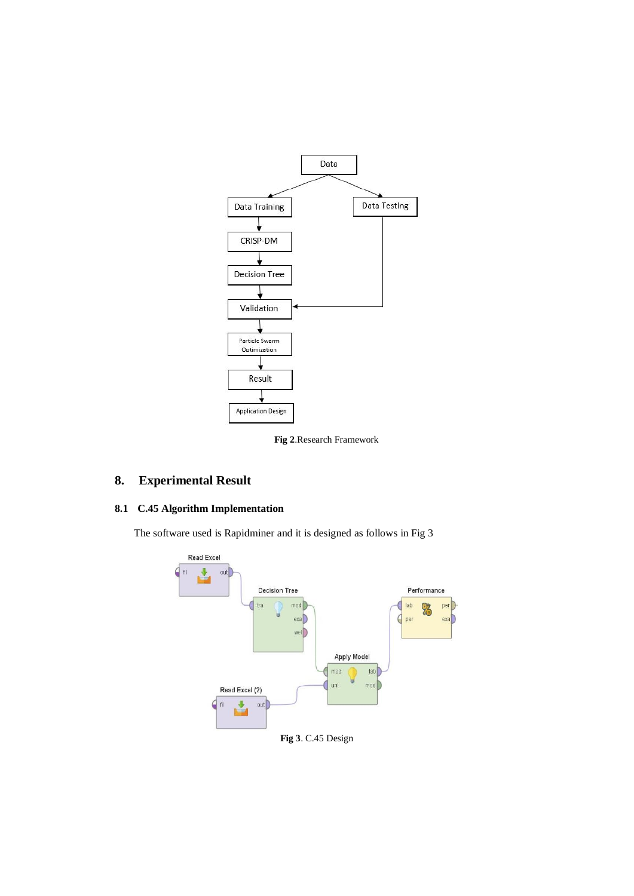



# **8. Experimental Result**

# **8.1 C.45 Algorithm Implementation**

The software used is Rapidminer and it is designed as follows in Fig 3



**Fig 3**. C.45 Design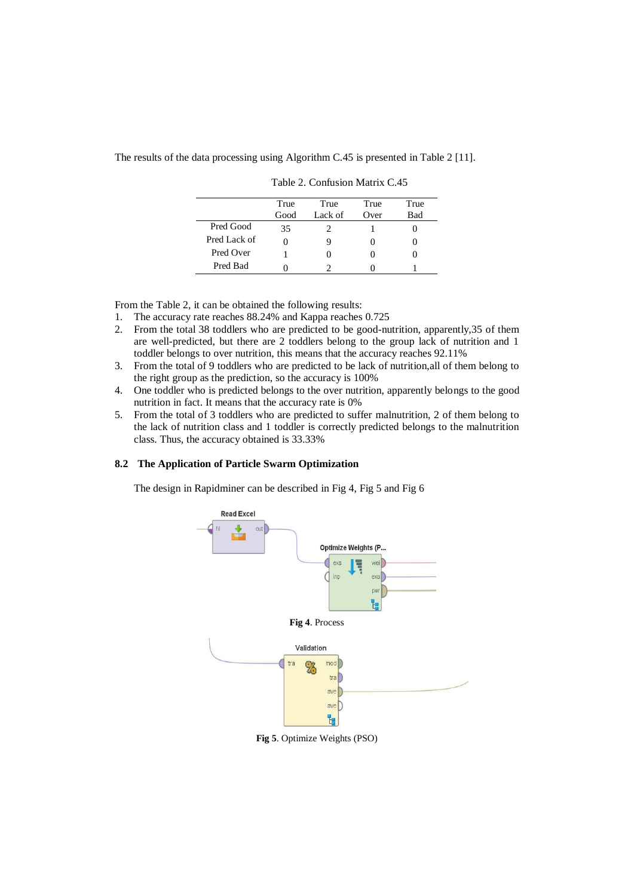The results of the data processing using Algorithm C.45 is presented in Table 2 [11].

|              | True | True    | True | True |
|--------------|------|---------|------|------|
|              | Good | Lack of | Over | Bad  |
| Pred Good    | 35   |         |      |      |
| Pred Lack of |      |         | 0    |      |
| Pred Over    |      |         |      |      |
| Pred Bad     |      |         |      |      |

Table 2. Confusion Matrix C.45

From the Table 2, it can be obtained the following results:

- 1. The accuracy rate reaches 88.24% and Kappa reaches 0.725
- 2. From the total 38 toddlers who are predicted to be good-nutrition, apparently,35 of them are well-predicted, but there are 2 toddlers belong to the group lack of nutrition and 1 toddler belongs to over nutrition, this means that the accuracy reaches 92.11%
- 3. From the total of 9 toddlers who are predicted to be lack of nutrition,all of them belong to the right group as the prediction, so the accuracy is 100%
- 4. One toddler who is predicted belongs to the over nutrition, apparently belongs to the good nutrition in fact. It means that the accuracy rate is 0%
- 5. From the total of 3 toddlers who are predicted to suffer malnutrition, 2 of them belong to the lack of nutrition class and 1 toddler is correctly predicted belongs to the malnutrition class. Thus, the accuracy obtained is 33.33%

#### **8.2 The Application of Particle Swarm Optimization**

The design in Rapidminer can be described in Fig 4, Fig 5 and Fig 6



**Fig 5**. Optimize Weights (PSO)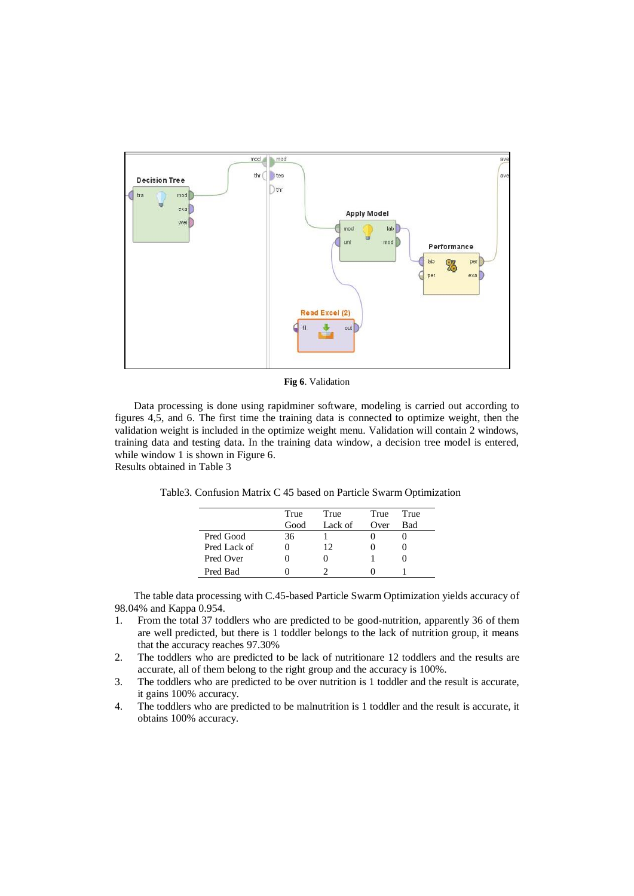

**Fig 6**. Validation

Data processing is done using rapidminer software, modeling is carried out according to figures 4,5, and 6. The first time the training data is connected to optimize weight, then the validation weight is included in the optimize weight menu. Validation will contain 2 windows, training data and testing data. In the training data window, a decision tree model is entered, while window 1 is shown in Figure 6. Results obtained in Table 3

Table3. Confusion Matrix C 45 based on Particle Swarm Optimization

|              | True | True    | True | True |
|--------------|------|---------|------|------|
|              | Good | Lack of | Over | Bad  |
| Pred Good    | 36   |         |      |      |
| Pred Lack of |      | 12      |      |      |
| Pred Over    |      |         |      |      |
| Pred Bad     |      |         |      |      |

The table data processing with C.45-based Particle Swarm Optimization yields accuracy of 98.04% and Kappa 0.954.

- 1. From the total 37 toddlers who are predicted to be good-nutrition, apparently 36 of them are well predicted, but there is 1 toddler belongs to the lack of nutrition group, it means that the accuracy reaches 97.30%
- 2. The toddlers who are predicted to be lack of nutritionare 12 toddlers and the results are accurate, all of them belong to the right group and the accuracy is 100%.
- 3. The toddlers who are predicted to be over nutrition is 1 toddler and the result is accurate, it gains 100% accuracy.
- 4. The toddlers who are predicted to be malnutrition is 1 toddler and the result is accurate, it obtains 100% accuracy.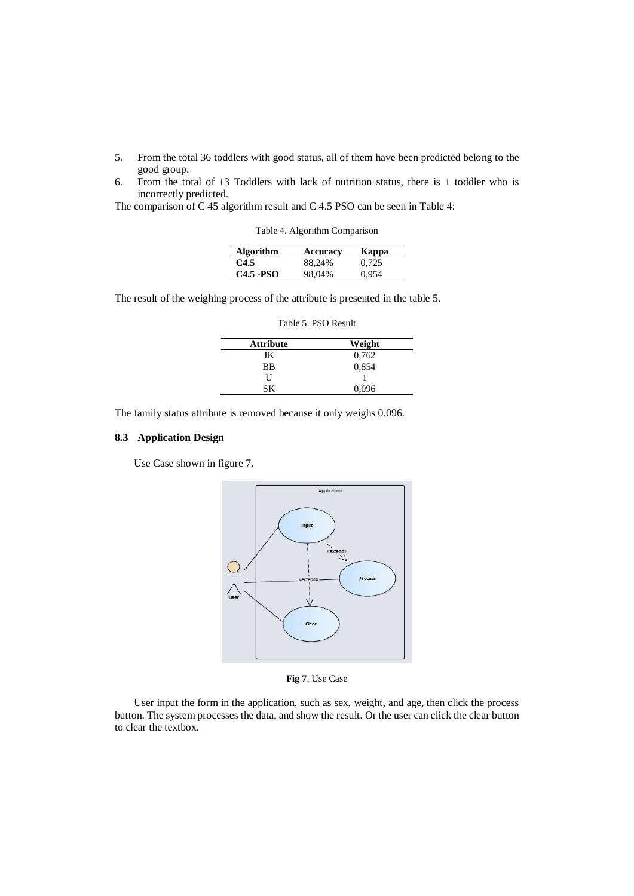- 5. From the total 36 toddlers with good status, all of them have been predicted belong to the good group.
- 6. From the total of 13 Toddlers with lack of nutrition status, there is 1 toddler who is incorrectly predicted.

The comparison of C 45 algorithm result and C 4.5 PSO can be seen in Table 4:

Table 4. Algorithm Comparison

| <b>Algorithm</b> | Accuracy | Kappa |
|------------------|----------|-------|
| C4.5             | 88,24%   | 0.725 |
| $C4.5 - PSO$     | 98,04%   | 0.954 |

The result of the weighing process of the attribute is presented in the table 5.

| <b>Attribute</b> | Weight |
|------------------|--------|
| JK               | 0,762  |
| <b>BB</b>        | 0,854  |
| H                |        |
| SК               | 0,096  |
|                  |        |

Table 5. PSO Result

The family status attribute is removed because it only weighs 0.096.

# **8.3 Application Design**

Use Case shown in figure 7.



**Fig 7**. Use Case

User input the form in the application, such as sex, weight, and age, then click the process button. The system processes the data, and show the result. Or the user can click the clear button to clear the textbox.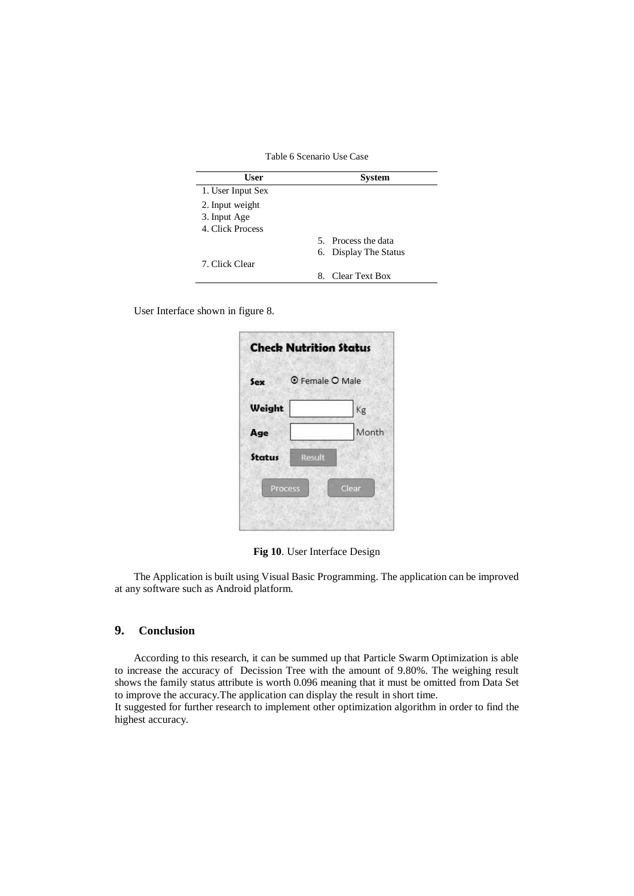Table 6 Scenario Use Case

| User              | System                |
|-------------------|-----------------------|
| 1. User Input Sex |                       |
| 2. Input weight   |                       |
| 3. Input Age      |                       |
| 4. Click Process  |                       |
|                   | 5. Process the data   |
|                   | 6. Display The Status |
| 7. Click Clear    |                       |
|                   | Clear Text Box<br>8.  |

User Interface shown in figure 8.

| Sex           | <b>O</b> Female O Male |
|---------------|------------------------|
| Weight        | Kg                     |
| Age           | Month                  |
| <b>Status</b> |                        |

**Fig 10**. User Interface Design

The Application is built using Visual Basic Programming. The application can be improved at any software such as Android platform.

## **9. Conclusion**

According to this research, it can be summed up that Particle Swarm Optimization is able to increase the accuracy of Decission Tree with the amount of 9.80%. The weighing result shows the family status attribute is worth 0.096 meaning that it must be omitted from Data Set to improve the accuracy.The application can display the result in short time.

It suggested for further research to implement other optimization algorithm in order to find the highest accuracy.